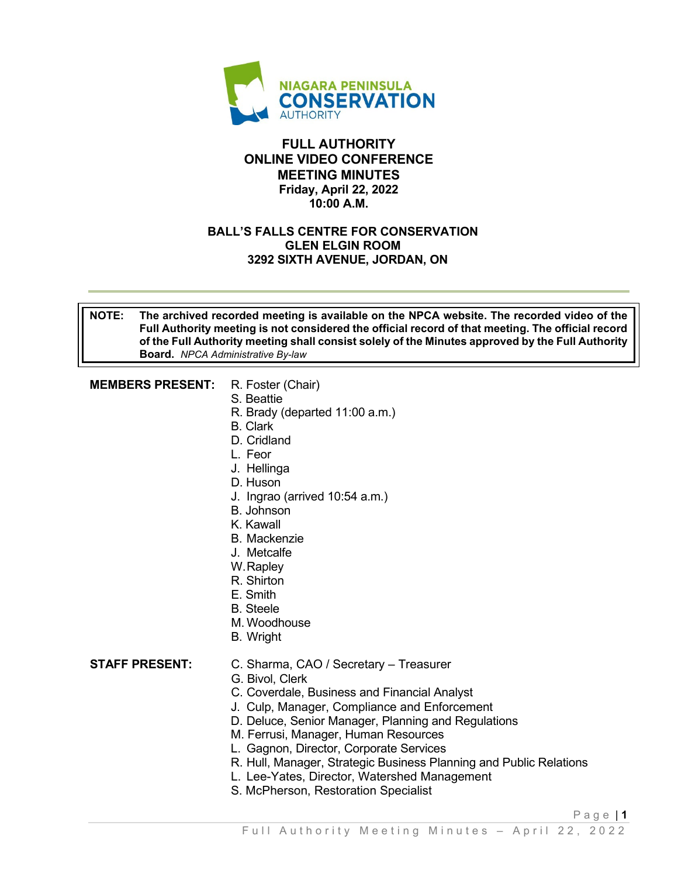

### **FULL AUTHORITY ONLINE VIDEO CONFERENCE MEETING MINUTES Friday, April 22, 2022 10:00 A.M.**

### **BALL'S FALLS CENTRE FOR CONSERVATION GLEN ELGIN ROOM 3292 SIXTH AVENUE, JORDAN, ON**

#### **NOTE: The archived recorded meeting is available on the NPCA website. The recorded video of the Full Authority meeting is not considered the official record of that meeting. The official record of the Full Authority meeting shall consist solely of the Minutes approved by the Full Authority Board.** *NPCA Administrative By-law*

### **MEMBERS PRESENT:** R. Foster (Chair)

- 
- S. Beattie
- R. Brady (departed 11:00 a.m.)
- B. Clark
- D. Cridland
- L. Feor
- J. Hellinga
- D. Huson
- J. Ingrao (arrived 10:54 a.m.)
- B. Johnson
- K. Kawall
- B. Mackenzie
- J. Metcalfe
- W. Rapley
- R. Shirton
- E. Smith
- B. Steele
- M. Woodhouse
- B. Wright

### **STAFF PRESENT:** C. Sharma, CAO / Secretary – Treasurer

- G. Bivol, Clerk
- C. Coverdale, Business and Financial Analyst
- J. Culp, Manager, Compliance and Enforcement
- D. Deluce, Senior Manager, Planning and Regulations
- M. Ferrusi, Manager, Human Resources
- L. Gagnon, Director, Corporate Services
- R. Hull, Manager, Strategic Business Planning and Public Relations
- L. Lee-Yates, Director, Watershed Management
- S. McPherson, Restoration Specialist

Page | **1**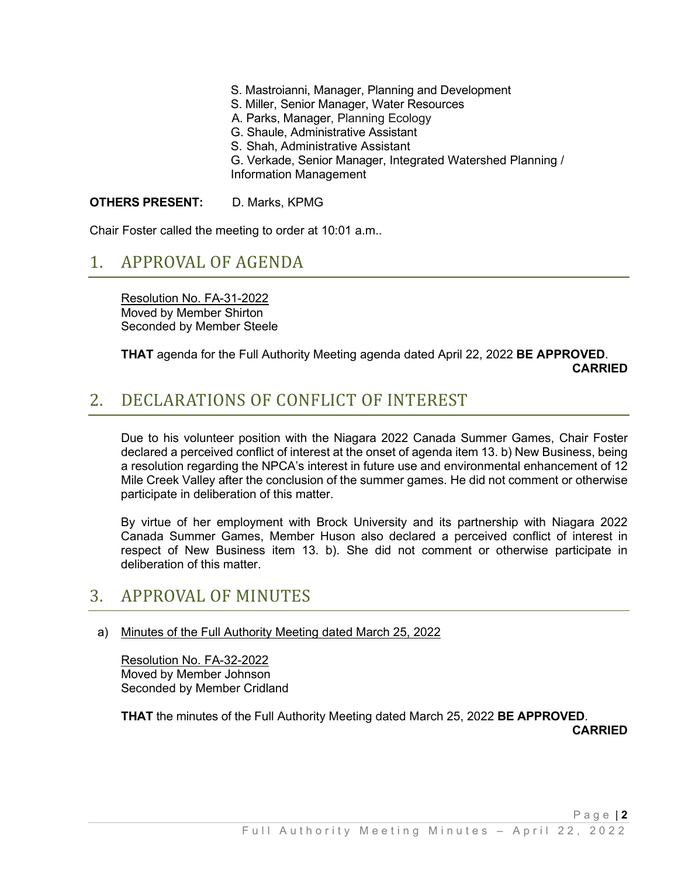- S. Mastroianni, Manager, Planning and Development
- S. Miller, Senior Manager, Water Resources
- A. Parks, Manager, Planning Ecology
- G. Shaule, Administrative Assistant
- S. Shah, Administrative Assistant
- G. Verkade, Senior Manager, Integrated Watershed Planning / Information Management

#### **OTHERS PRESENT:** D. Marks, KPMG

Chair Foster called the meeting to order at 10:01 a.m..

## 1. APPROVAL OF AGENDA

Resolution No. FA-31-2022 Moved by Member Shirton Seconded by Member Steele

### **THAT** agenda for the Full Authority Meeting agenda dated April 22, 2022 **BE APPROVED**. **CARRIED CARRIED**

# 2. DECLARATIONS OF CONFLICT OF INTEREST

Due to his volunteer position with the Niagara 2022 Canada Summer Games, Chair Foster declared a perceived conflict of interest at the onset of agenda item 13. b) New Business, being a resolution regarding the NPCA's interest in future use and environmental enhancement of 12 Mile Creek Valley after the conclusion of the summer games. He did not comment or otherwise participate in deliberation of this matter.

By virtue of her employment with Brock University and its partnership with Niagara 2022 Canada Summer Games, Member Huson also declared a perceived conflict of interest in respect of New Business item 13. b). She did not comment or otherwise participate in deliberation of this matter.

## 3. APPROVAL OF MINUTES

### a) Minutes of the Full Authority Meeting dated March 25, 2022

Resolution No. FA-32-2022 Moved by Member Johnson Seconded by Member Cridland

**THAT** the minutes of the Full Authority Meeting dated March 25, 2022 **BE APPROVED**.

 **CARRIED**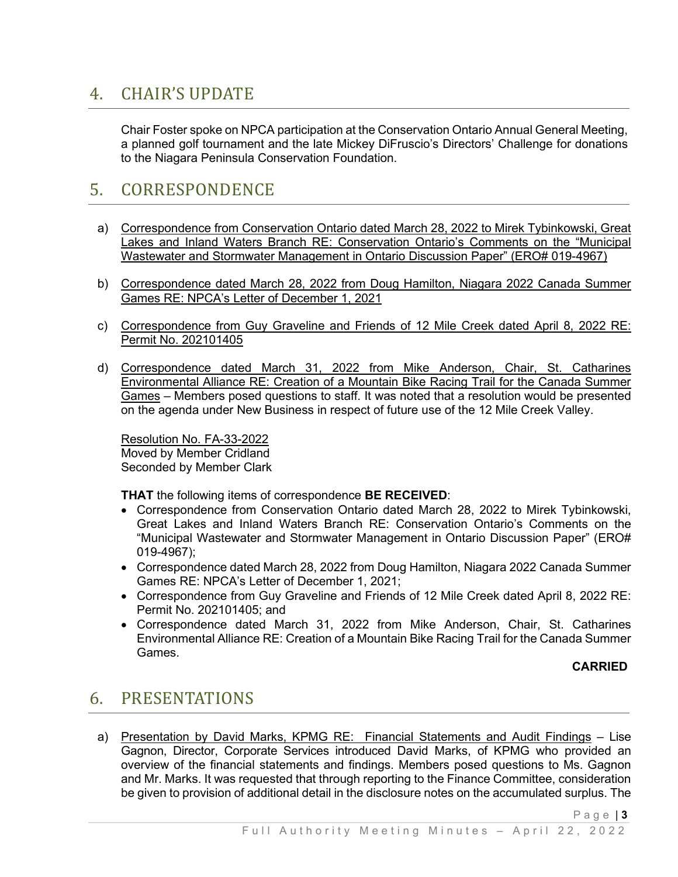# 4. CHAIR'S UPDATE

Chair Foster spoke on NPCA participation at the Conservation Ontario Annual General Meeting, a planned golf tournament and the late Mickey DiFruscio's Directors' Challenge for donations to the Niagara Peninsula Conservation Foundation.

# 5. CORRESPONDENCE

- a) Correspondence from Conservation Ontario dated March 28, 2022 to Mirek Tybinkowski, Great Lakes and Inland Waters Branch RE: Conservation Ontario's Comments on the "Municipal Wastewater and Stormwater Management in Ontario Discussion Paper" (ERO# 019-4967)
- b) Correspondence dated March 28, 2022 from Doug Hamilton, Niagara 2022 Canada Summer Games RE: NPCA's Letter of December 1, 2021
- c) Correspondence from Guy Graveline and Friends of 12 Mile Creek dated April 8, 2022 RE: Permit No. 202101405
- d) Correspondence dated March 31, 2022 from Mike Anderson, Chair, St. Catharines Environmental Alliance RE: Creation of a Mountain Bike Racing Trail for the Canada Summer Games – Members posed questions to staff. It was noted that a resolution would be presented on the agenda under New Business in respect of future use of the 12 Mile Creek Valley.

Resolution No. FA-33-2022 Moved by Member Cridland Seconded by Member Clark

**THAT** the following items of correspondence **BE RECEIVED**:

- Correspondence from Conservation Ontario dated March 28, 2022 to Mirek Tybinkowski, Great Lakes and Inland Waters Branch RE: Conservation Ontario's Comments on the "Municipal Wastewater and Stormwater Management in Ontario Discussion Paper" (ERO# 019-4967);
- Correspondence dated March 28, 2022 from Doug Hamilton, Niagara 2022 Canada Summer Games RE: NPCA's Letter of December 1, 2021;
- Correspondence from Guy Graveline and Friends of 12 Mile Creek dated April 8, 2022 RE: Permit No. 202101405; and
- Correspondence dated March 31, 2022 from Mike Anderson, Chair, St. Catharines Environmental Alliance RE: Creation of a Mountain Bike Racing Trail for the Canada Summer Games.

### **CARRIED**

Page | **3** 

# 6. PRESENTATIONS

a) Presentation by David Marks, KPMG RE: Financial Statements and Audit Findings - Lise Gagnon, Director, Corporate Services introduced David Marks, of KPMG who provided an overview of the financial statements and findings. Members posed questions to Ms. Gagnon and Mr. Marks. It was requested that through reporting to the Finance Committee, consideration be given to provision of additional detail in the disclosure notes on the accumulated surplus. The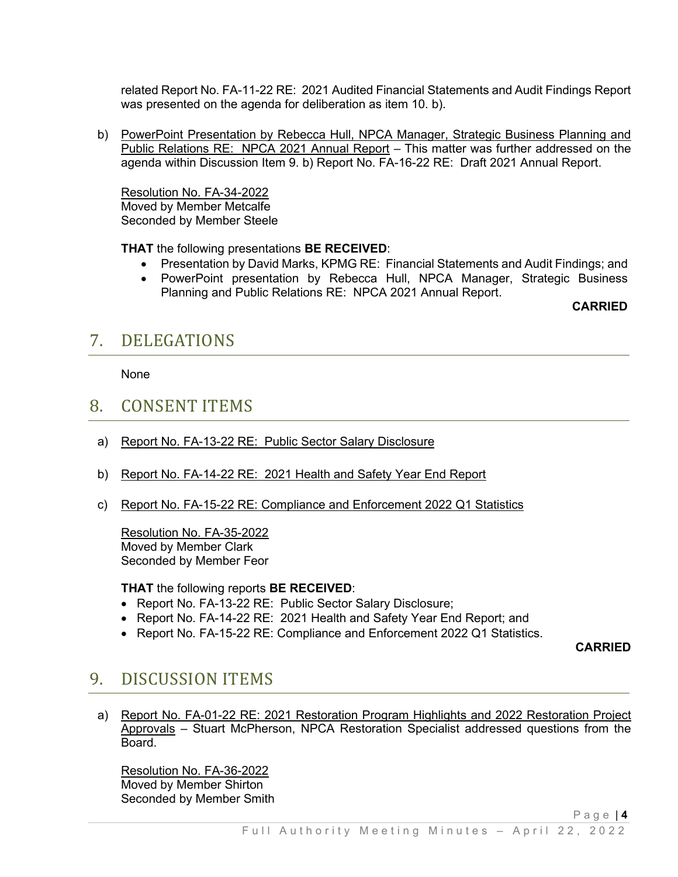related Report No. FA-11-22 RE: 2021 Audited Financial Statements and Audit Findings Report was presented on the agenda for deliberation as item 10. b).

b) PowerPoint Presentation by Rebecca Hull, NPCA Manager, Strategic Business Planning and Public Relations RE: NPCA 2021 Annual Report – This matter was further addressed on the agenda within Discussion Item 9. b) Report No. FA-16-22 RE: Draft 2021 Annual Report.

Resolution No. FA-34-2022 Moved by Member Metcalfe Seconded by Member Steele

**THAT** the following presentations **BE RECEIVED**:

- Presentation by David Marks, KPMG RE: Financial Statements and Audit Findings; and
- PowerPoint presentation by Rebecca Hull, NPCA Manager, Strategic Business Planning and Public Relations RE: NPCA 2021 Annual Report.

**CARRIED**

## 7. DELEGATIONS

None

### 8. CONSENT ITEMS

- a) Report No. FA-13-22 RE: Public Sector Salary Disclosure
- b) Report No. FA-14-22 RE: 2021 Health and Safety Year End Report
- c) Report No. FA-15-22 RE: Compliance and Enforcement 2022 Q1 Statistics

Resolution No. FA-35-2022 Moved by Member Clark Seconded by Member Feor

**THAT** the following reports **BE RECEIVED**:

- Report No. FA-13-22 RE: Public Sector Salary Disclosure;
- Report No. FA-14-22 RE: 2021 Health and Safety Year End Report; and
- Report No. FA-15-22 RE: Compliance and Enforcement 2022 Q1 Statistics.

**CARRIED**

### 9. DISCUSSION ITEMS

a) Report No. FA-01-22 RE: 2021 Restoration Program Highlights and 2022 Restoration Project Approvals – Stuart McPherson, NPCA Restoration Specialist addressed questions from the Board.

Resolution No. FA-36-2022 Moved by Member Shirton Seconded by Member Smith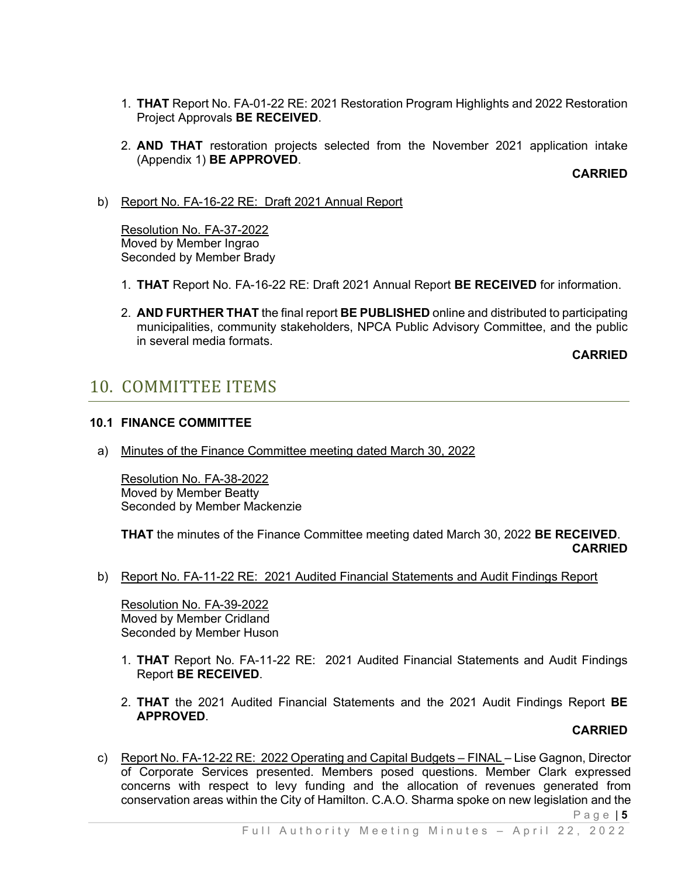- 1. **THAT** Report No. FA-01-22 RE: 2021 Restoration Program Highlights and 2022 Restoration Project Approvals **BE RECEIVED**.
- 2. **AND THAT** restoration projects selected from the November 2021 application intake (Appendix 1) **BE APPROVED**.

**CARRIED**

b) Report No. FA-16-22 RE: Draft 2021 Annual Report

Resolution No. FA-37-2022 Moved by Member Ingrao Seconded by Member Brady

- 1. **THAT** Report No. FA-16-22 RE: Draft 2021 Annual Report **BE RECEIVED** for information.
- 2. **AND FURTHER THAT** the final report **BE PUBLISHED** online and distributed to participating municipalities, community stakeholders, NPCA Public Advisory Committee, and the public in several media formats.

**CARRIED**

## 10. COMMITTEE ITEMS

### **10.1 FINANCE COMMITTEE**

a) Minutes of the Finance Committee meeting dated March 30, 2022

Resolution No. FA-38-2022 Moved by Member Beatty Seconded by Member Mackenzie

**THAT** the minutes of the Finance Committee meeting dated March 30, 2022 **BE RECEIVED**. **CARRIED**

b) Report No. FA-11-22 RE: 2021 Audited Financial Statements and Audit Findings Report

Resolution No. FA-39-2022 Moved by Member Cridland Seconded by Member Huson

- 1. **THAT** Report No. FA-11-22 RE: 2021 Audited Financial Statements and Audit Findings Report **BE RECEIVED**.
- 2. **THAT** the 2021 Audited Financial Statements and the 2021 Audit Findings Report **BE APPROVED**.

#### **CARRIED**

c) Report No. FA-12-22 RE: 2022 Operating and Capital Budgets - FINAL - Lise Gagnon, Director of Corporate Services presented. Members posed questions. Member Clark expressed concerns with respect to levy funding and the allocation of revenues generated from conservation areas within the City of Hamilton. C.A.O. Sharma spoke on new legislation and the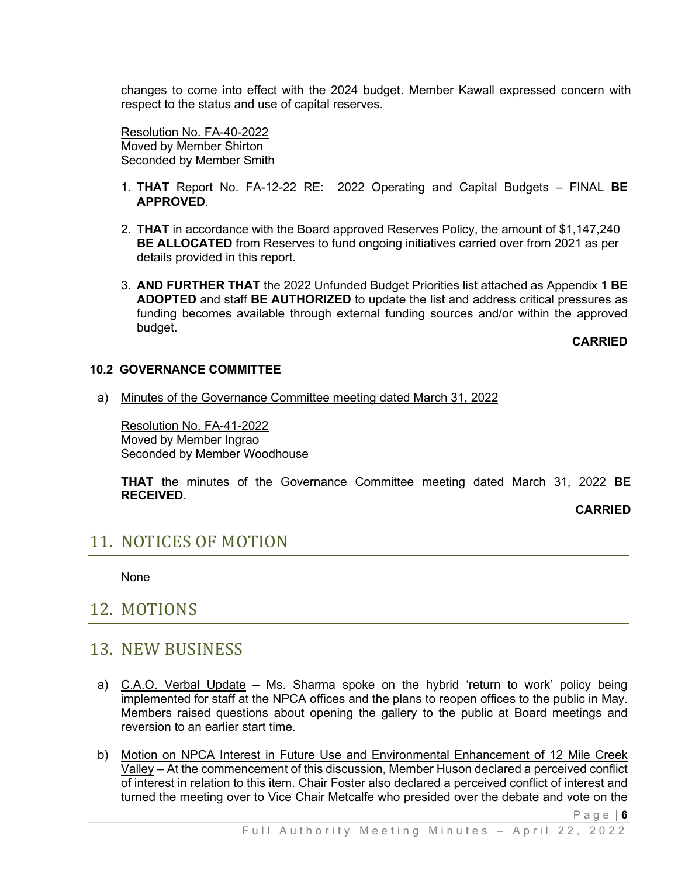changes to come into effect with the 2024 budget. Member Kawall expressed concern with respect to the status and use of capital reserves.

Resolution No. FA-40-2022 Moved by Member Shirton Seconded by Member Smith

- 1. **THAT** Report No. FA-12-22 RE: 2022 Operating and Capital Budgets FINAL **BE APPROVED**.
- 2. **THAT** in accordance with the Board approved Reserves Policy, the amount of \$1,147,240 **BE ALLOCATED** from Reserves to fund ongoing initiatives carried over from 2021 as per details provided in this report.
- 3. **AND FURTHER THAT** the 2022 Unfunded Budget Priorities list attached as Appendix 1 **BE ADOPTED** and staff **BE AUTHORIZED** to update the list and address critical pressures as funding becomes available through external funding sources and/or within the approved budget.

**CARRIED**

#### **10.2 GOVERNANCE COMMITTEE**

a) Minutes of the Governance Committee meeting dated March 31, 2022

Resolution No. FA-41-2022 Moved by Member Ingrao Seconded by Member Woodhouse

**THAT** the minutes of the Governance Committee meeting dated March 31, 2022 **BE RECEIVED**.

**CARRIED**

Page | **6** 

## 11. NOTICES OF MOTION

None

### 12. MOTIONS

### 13. NEW BUSINESS

- a) C.A.O. Verbal Update Ms. Sharma spoke on the hybrid 'return to work' policy being implemented for staff at the NPCA offices and the plans to reopen offices to the public in May. Members raised questions about opening the gallery to the public at Board meetings and reversion to an earlier start time.
- b) Motion on NPCA Interest in Future Use and Environmental Enhancement of 12 Mile Creek Valley – At the commencement of this discussion, Member Huson declared a perceived conflict of interest in relation to this item. Chair Foster also declared a perceived conflict of interest and turned the meeting over to Vice Chair Metcalfe who presided over the debate and vote on the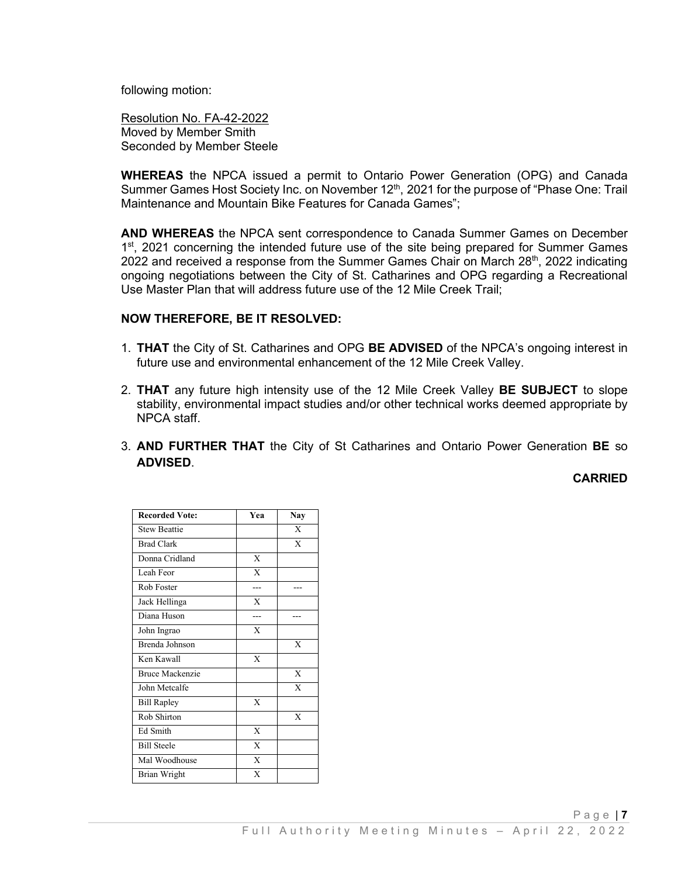following motion:

Resolution No. FA-42-2022 Moved by Member Smith Seconded by Member Steele

**WHEREAS** the NPCA issued a permit to Ontario Power Generation (OPG) and Canada Summer Games Host Society Inc. on November 12<sup>th</sup>, 2021 for the purpose of "Phase One: Trail Maintenance and Mountain Bike Features for Canada Games";

**AND WHEREAS** the NPCA sent correspondence to Canada Summer Games on December 1<sup>st</sup>, 2021 concerning the intended future use of the site being prepared for Summer Games 2022 and received a response from the Summer Games Chair on March  $28<sup>th</sup>$ , 2022 indicating ongoing negotiations between the City of St. Catharines and OPG regarding a Recreational Use Master Plan that will address future use of the 12 Mile Creek Trail;

#### **NOW THEREFORE, BE IT RESOLVED:**

- 1. **THAT** the City of St. Catharines and OPG **BE ADVISED** of the NPCA's ongoing interest in future use and environmental enhancement of the 12 Mile Creek Valley.
- 2. **THAT** any future high intensity use of the 12 Mile Creek Valley **BE SUBJECT** to slope stability, environmental impact studies and/or other technical works deemed appropriate by NPCA staff.
- 3. **AND FURTHER THAT** the City of St Catharines and Ontario Power Generation **BE** so **ADVISED**.

**CARRIED**

| <b>Recorded Vote:</b>  | Yea                     | <b>Nay</b>   |
|------------------------|-------------------------|--------------|
| <b>Stew Beattie</b>    |                         | X            |
| <b>Brad Clark</b>      |                         | $\mathbf{X}$ |
| Donna Cridland         | X                       |              |
| Leah Feor              | $\mathbf{X}$            |              |
| Rob Foster             |                         |              |
| Jack Hellinga          | X                       |              |
| Diana Huson            |                         |              |
| John Ingrao            | $\mathbf x$             |              |
| Brenda Johnson         |                         | $\mathbf x$  |
| Ken Kawall             | $\mathbf{x}$            |              |
| <b>Bruce Mackenzie</b> |                         | X            |
| John Metcalfe          |                         | $\mathbf x$  |
| <b>Bill Rapley</b>     | $\mathbf{x}$            |              |
| Rob Shirton            |                         | $\mathbf{X}$ |
| <b>Ed Smith</b>        | $\mathbf{x}$            |              |
| <b>Bill Steele</b>     | $\mathbf{x}$            |              |
| Mal Woodhouse          | $\overline{\mathbf{x}}$ |              |
| <b>Brian Wright</b>    | X                       |              |